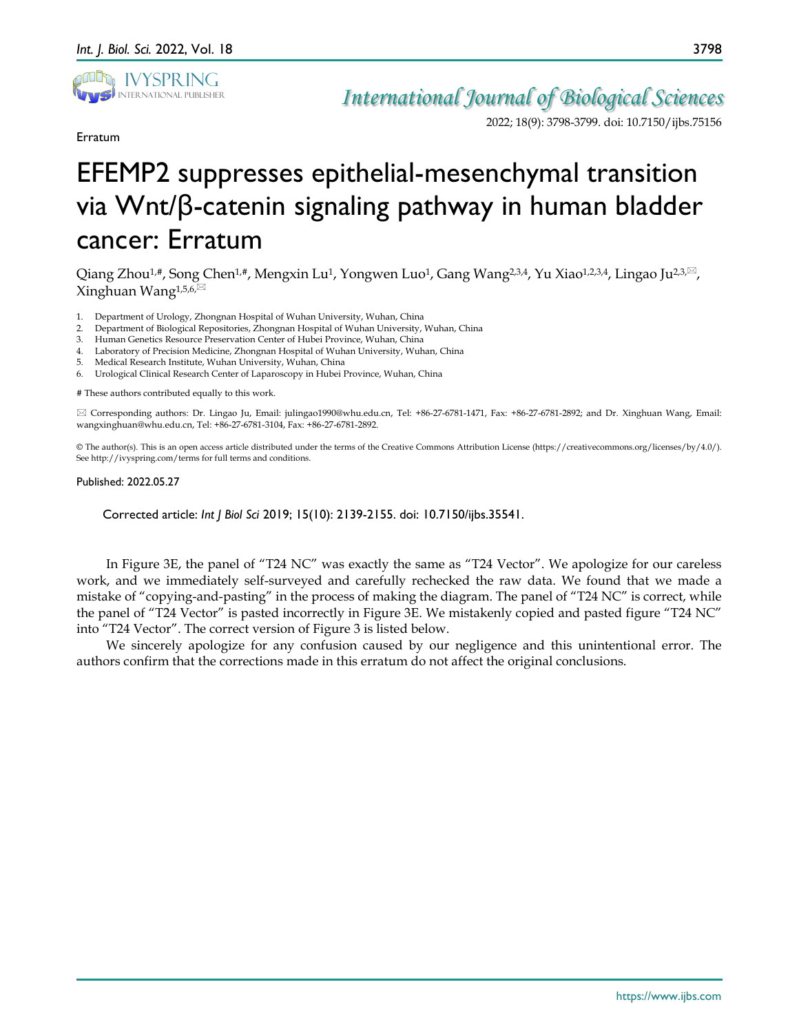

Erratum

*International Journal of Biological Sciences*

2022; 18(9): 3798-3799. doi: 10.7150/ijbs.75156

## EFEMP2 suppresses epithelial-mesenchymal transition via Wnt/β-catenin signaling pathway in human bladder cancer: Erratum

Qiang Zhou<sup>1,#</sup>, Song Chen<sup>1,#</sup>, Mengxin Lu<sup>1</sup>, Yongwen Luo<sup>1</sup>, Gang Wang<sup>2,3,4</sup>, Yu Xiao<sup>1,2,3,4</sup>, Lingao Ju<sup>2,3, $\boxtimes$ ,</sup> Xinghuan Wang<sup>1,5,6, $\boxtimes$ </sup>

- 1. Department of Urology, Zhongnan Hospital of Wuhan University, Wuhan, China
- 2. Department of Biological Repositories, Zhongnan Hospital of Wuhan University, Wuhan, China
- 3. Human Genetics Resource Preservation Center of Hubei Province, Wuhan, China
- Laboratory of Precision Medicine, Zhongnan Hospital of Wuhan University, Wuhan, China
- 5. Medical Research Institute, Wuhan University, Wuhan, China
- 6. Urological Clinical Research Center of Laparoscopy in Hubei Province, Wuhan, China

# These authors contributed equally to this work.

 Corresponding authors: Dr. Lingao Ju, Email: julingao1990@whu.edu.cn, Tel: +86-27-6781-1471, Fax: +86-27-6781-2892; and Dr. Xinghuan Wang, Email: wangxinghuan@whu.edu.cn, Tel: +86-27-6781-3104, Fax: +86-27-6781-2892.

© The author(s). This is an open access article distributed under the terms of the Creative Commons Attribution License (https://creativecommons.org/licenses/by/4.0/). See http://ivyspring.com/terms for full terms and conditions.

## Published: 2022.05.27

Corrected article: *Int J Biol Sci* 2019; 15(10): 2139-2155. doi: 10.7150/ijbs.35541.

In Figure 3E, the panel of "T24 NC" was exactly the same as "T24 Vector". We apologize for our careless work, and we immediately self-surveyed and carefully rechecked the raw data. We found that we made a mistake of "copying-and-pasting" in the process of making the diagram. The panel of "T24 NC" is correct, while the panel of "T24 Vector" is pasted incorrectly in Figure 3E. We mistakenly copied and pasted figure "T24 NC" into "T24 Vector". The correct version of Figure 3 is listed below.

We sincerely apologize for any confusion caused by our negligence and this unintentional error. The authors confirm that the corrections made in this erratum do not affect the original conclusions.